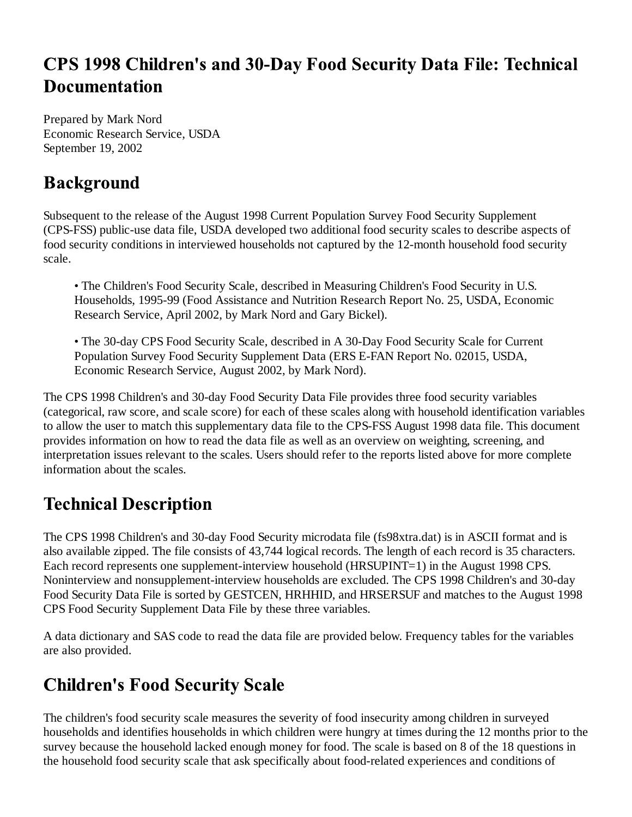### CPS 1998 Children's and 30-Day Food Security Data File: Technical **Documentation**

Prepared by Mark Nord Economic Research Service, USDA September 19, 2002

## **Background**

Subsequent to the release of the August 1998 Current Population Survey Food Security Supplement (CPS-FSS) public-use data file, USDA developed two additional food security scales to describe aspects of food security conditions in interviewed households not captured by the 12-month household food security scale.

• The Children's Food Security Scale, described in Measuring Children's Food Security in U.S. Households, 1995-99 (Food Assistance and Nutrition Research Report No. 25, USDA, Economic Research Service, April 2002, by Mark Nord and Gary Bickel).

• The 30-day CPS Food Security Scale, described in A 30-Day Food Security Scale for Current Population Survey Food Security Supplement Data (ERS E-FAN Report No. 02015, USDA, Economic Research Service, August 2002, by Mark Nord).

The CPS 1998 Children's and 30-day Food Security Data File provides three food security variables (categorical, raw score, and scale score) for each of these scales along with household identification variables to allow the user to match this supplementary data file to the CPS-FSS August 1998 data file. This document provides information on how to read the data file as well as an overview on weighting, screening, and interpretation issues relevant to the scales. Users should refer to the reports listed above for more complete information about the scales.

# **Technical Description**

The CPS 1998 Children's and 30-day Food Security microdata file (fs98xtra.dat) is in ASCII format and is also available zipped. The file consists of 43,744 logical records. The length of each record is 35 characters. Each record represents one supplement-interview household (HRSUPINT=1) in the August 1998 CPS. Noninterview and nonsupplement-interview households are excluded. The CPS 1998 Children's and 30-day Food Security Data File is sorted by GESTCEN, HRHHID, and HRSERSUF and matches to the August 1998 CPS Food Security Supplement Data File by these three variables.

A data dictionary and SAS code to read the data file are provided below. Frequency tables for the variables are also provided.

### **Children's Food Security Scale**

The children's food security scale measures the severity of food insecurity among children in surveyed households and identifies households in which children were hungry at times during the 12 months prior to the survey because the household lacked enough money for food. The scale is based on 8 of the 18 questions in the household food security scale that ask specifically about food-related experiences and conditions of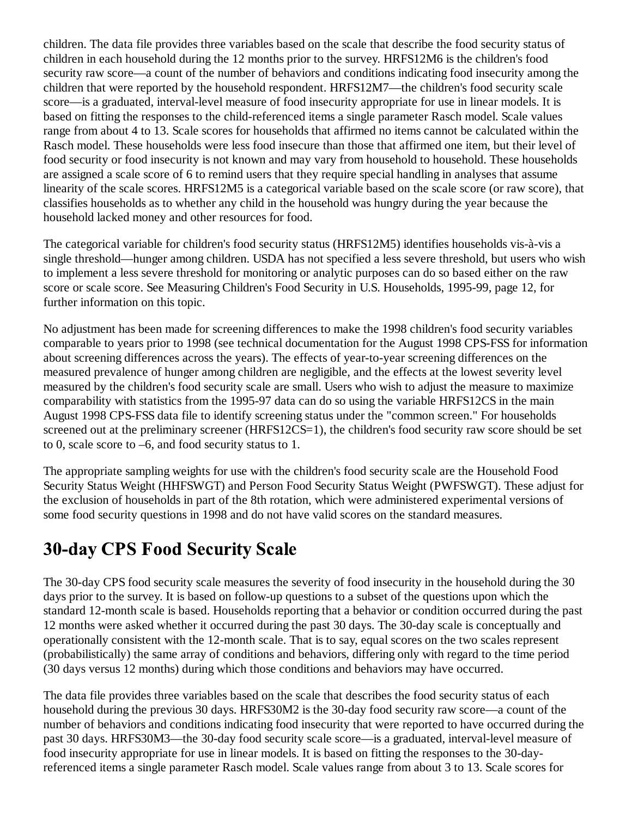children. The data file provides three variables based on the scale that describe the food security status of children in each household during the 12 months prior to the survey. HRFS12M6 is the children's food security raw score—a count of the number of behaviors and conditions indicating food insecurity among the children that were reported by the household respondent. HRFS12M7—the children's food security scale score—is a graduated, interval-level measure of food insecurity appropriate for use in linear models. It is based on fitting the responses to the child-referenced items a single parameter Rasch model. Scale values range from about 4 to 13. Scale scores for households that affirmed no items cannot be calculated within the Rasch model. These households were less food insecure than those that affirmed one item, but their level of food security or food insecurity is not known and may vary from household to household. These households are assigned a scale score of 6 to remind users that they require special handling in analyses that assume linearity of the scale scores. HRFS12M5 is a categorical variable based on the scale score (or raw score), that classifies households as to whether any child in the household was hungry during the year because the household lacked money and other resources for food.

The categorical variable for children's food security status (HRFS12M5) identifies households vis-à-vis a single threshold—hunger among children. USDA has not specified a less severe threshold, but users who wish to implement a less severe threshold for monitoring or analytic purposes can do so based either on the raw score or scale score. See Measuring Children's Food Security in U.S. Households, 1995-99, page 12, for further information on this topic.

No adjustment has been made for screening differences to make the 1998 children's food security variables comparable to years prior to 1998 (see technical documentation for the August 1998 CPS-FSS for information about screening differences across the years). The effects of year-to-year screening differences on the measured prevalence of hunger among children are negligible, and the effects at the lowest severity level measured by the children's food security scale are small. Users who wish to adjust the measure to maximize comparability with statistics from the 1995-97 data can do so using the variable HRFS12CS in the main August 1998 CPS-FSS data file to identify screening status under the "common screen." For households screened out at the preliminary screener (HRFS12CS=1), the children's food security raw score should be set to 0, scale score to –6, and food security status to 1.

The appropriate sampling weights for use with the children's food security scale are the Household Food Security Status Weight (HHFSWGT) and Person Food Security Status Weight (PWFSWGT). These adjust for the exclusion of households in part of the 8th rotation, which were administered experimental versions of some food security questions in 1998 and do not have valid scores on the standard measures.

#### **30-day CPS Food Security Scale**

The 30-day CPS food security scale measures the severity of food insecurity in the household during the 30 days prior to the survey. It is based on follow-up questions to a subset of the questions upon which the standard 12-month scale is based. Households reporting that a behavior or condition occurred during the past 12 months were asked whether it occurred during the past 30 days. The 30-day scale is conceptually and operationally consistent with the 12-month scale. That is to say, equal scores on the two scales represent (probabilistically) the same array of conditions and behaviors, differing only with regard to the time period (30 days versus 12 months) during which those conditions and behaviors may have occurred.

The data file provides three variables based on the scale that describes the food security status of each household during the previous 30 days. HRFS30M2 is the 30-day food security raw score—a count of the number of behaviors and conditions indicating food insecurity that were reported to have occurred during the past 30 days. HRFS30M3—the 30-day food security scale score—is a graduated, interval-level measure of food insecurity appropriate for use in linear models. It is based on fitting the responses to the 30-dayreferenced items a single parameter Rasch model. Scale values range from about 3 to 13. Scale scores for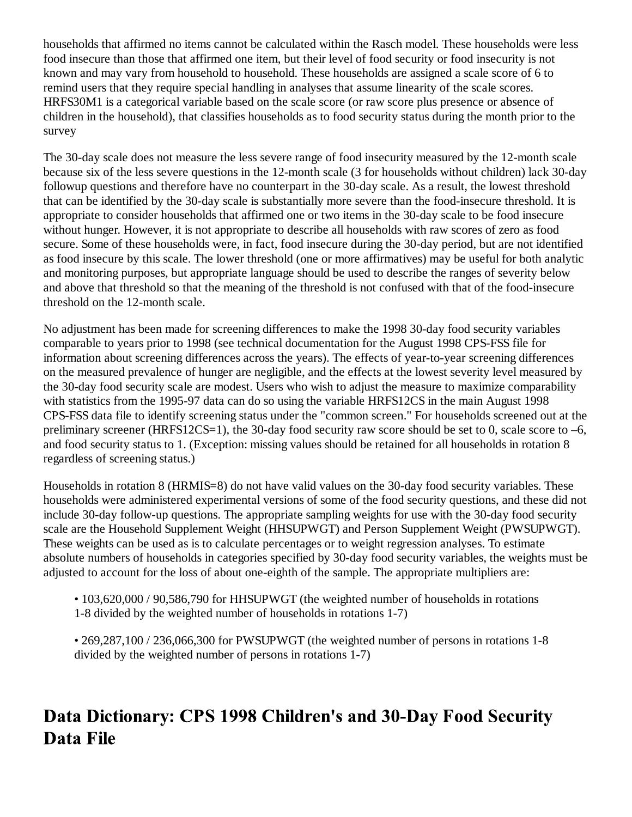households that affirmed no items cannot be calculated within the Rasch model. These households were less food insecure than those that affirmed one item, but their level of food security or food insecurity is not known and may vary from household to household. These households are assigned a scale score of 6 to remind users that they require special handling in analyses that assume linearity of the scale scores. HRFS30M1 is a categorical variable based on the scale score (or raw score plus presence or absence of children in the household), that classifies households as to food security status during the month prior to the survey

The 30-day scale does not measure the less severe range of food insecurity measured by the 12-month scale because six of the less severe questions in the 12-month scale (3 for households without children) lack 30-day followup questions and therefore have no counterpart in the 30-day scale. As a result, the lowest threshold that can be identified by the 30-day scale is substantially more severe than the food-insecure threshold. It is appropriate to consider households that affirmed one or two items in the 30-day scale to be food insecure without hunger. However, it is not appropriate to describe all households with raw scores of zero as food secure. Some of these households were, in fact, food insecure during the 30-day period, but are not identified as food insecure by this scale. The lower threshold (one or more affirmatives) may be useful for both analytic and monitoring purposes, but appropriate language should be used to describe the ranges of severity below and above that threshold so that the meaning of the threshold is not confused with that of the food-insecure threshold on the 12-month scale.

No adjustment has been made for screening differences to make the 1998 30-day food security variables comparable to years prior to 1998 (see technical documentation for the August 1998 CPS-FSS file for information about screening differences across the years). The effects of year-to-year screening differences on the measured prevalence of hunger are negligible, and the effects at the lowest severity level measured by the 30-day food security scale are modest. Users who wish to adjust the measure to maximize comparability with statistics from the 1995-97 data can do so using the variable HRFS12CS in the main August 1998 CPS-FSS data file to identify screening status under the "common screen." For households screened out at the preliminary screener (HRFS12CS=1), the 30-day food security raw score should be set to 0, scale score to –6, and food security status to 1. (Exception: missing values should be retained for all households in rotation 8 regardless of screening status.)

Households in rotation 8 (HRMIS=8) do not have valid values on the 30-day food security variables. These households were administered experimental versions of some of the food security questions, and these did not include 30-day follow-up questions. The appropriate sampling weights for use with the 30-day food security scale are the Household Supplement Weight (HHSUPWGT) and Person Supplement Weight (PWSUPWGT). These weights can be used as is to calculate percentages or to weight regression analyses. To estimate absolute numbers of households in categories specified by 30-day food security variables, the weights must be adjusted to account for the loss of about one-eighth of the sample. The appropriate multipliers are:

• 103,620,000 / 90,586,790 for HHSUPWGT (the weighted number of households in rotations 1-8 divided by the weighted number of households in rotations 1-7)

• 269,287,100 / 236,066,300 for PWSUPWGT (the weighted number of persons in rotations 1-8 divided by the weighted number of persons in rotations 1-7)

### Data Dictionary: CPS 1998 Children's and 30-Day Food Security Data File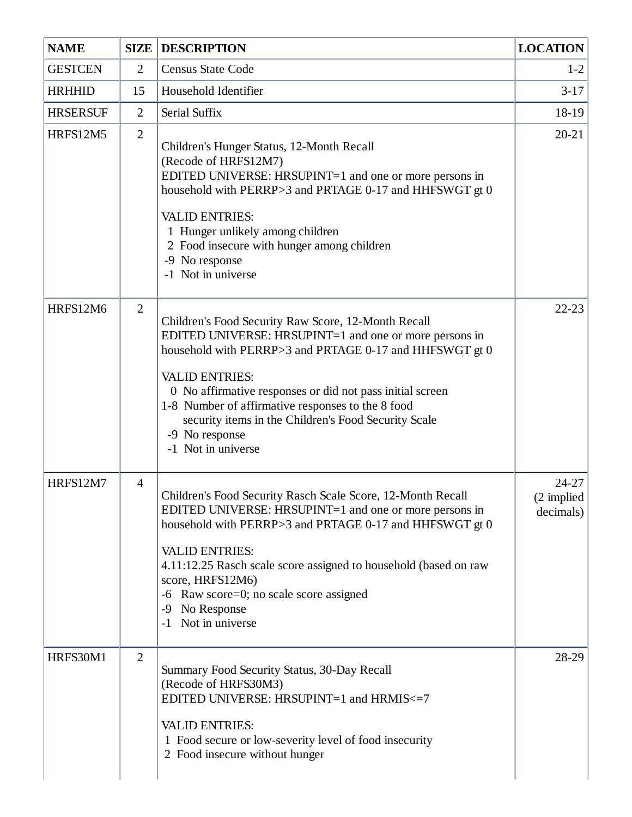| <b>NAME</b>     | <b>SIZE</b>    | <b>DESCRIPTION</b>                                                                                                                                                                                                                                                                                                                                                                                                  | <b>LOCATION</b>                  |
|-----------------|----------------|---------------------------------------------------------------------------------------------------------------------------------------------------------------------------------------------------------------------------------------------------------------------------------------------------------------------------------------------------------------------------------------------------------------------|----------------------------------|
| <b>GESTCEN</b>  | 2              | <b>Census State Code</b>                                                                                                                                                                                                                                                                                                                                                                                            | $1 - 2$                          |
| <b>HRHHID</b>   | 15             | Household Identifier                                                                                                                                                                                                                                                                                                                                                                                                | $3-17$                           |
| <b>HRSERSUF</b> | 2              | Serial Suffix                                                                                                                                                                                                                                                                                                                                                                                                       | 18-19                            |
| HRFS12M5        | $\overline{2}$ | Children's Hunger Status, 12-Month Recall<br>(Recode of HRFS12M7)<br>EDITED UNIVERSE: HRSUPINT=1 and one or more persons in<br>household with PERRP>3 and PRTAGE 0-17 and HHFSWGT gt 0<br><b>VALID ENTRIES:</b><br>1 Hunger unlikely among children<br>2 Food insecure with hunger among children<br>-9 No response<br>-1 Not in universe                                                                           | $20 - 21$                        |
| HRFS12M6        | $\overline{2}$ | Children's Food Security Raw Score, 12-Month Recall<br>EDITED UNIVERSE: HRSUPINT=1 and one or more persons in<br>household with PERRP>3 and PRTAGE 0-17 and HHFSWGT gt 0<br><b>VALID ENTRIES:</b><br>0 No affirmative responses or did not pass initial screen<br>1-8 Number of affirmative responses to the 8 food<br>security items in the Children's Food Security Scale<br>-9 No response<br>-1 Not in universe | $22 - 23$                        |
| HRFS12M7        | $\overline{4}$ | Children's Food Security Rasch Scale Score, 12-Month Recall<br>EDITED UNIVERSE: HRSUPINT=1 and one or more persons in<br>household with PERRP>3 and PRTAGE 0-17 and HHFSWGT gt 0<br><b>VALID ENTRIES:</b><br>4.11:12.25 Rasch scale score assigned to household (based on raw<br>score, HRFS12M6)<br>-6 Raw score=0; no scale score assigned<br>-9 No Response<br>Not in universe<br>$-1$                           | 24-27<br>(2 implied<br>decimals) |
| HRFS30M1        | $\overline{2}$ | Summary Food Security Status, 30-Day Recall<br>(Recode of HRFS30M3)<br>EDITED UNIVERSE: HRSUPINT=1 and HRMIS<=7<br><b>VALID ENTRIES:</b><br>1 Food secure or low-severity level of food insecurity<br>2 Food insecure without hunger                                                                                                                                                                                | 28-29                            |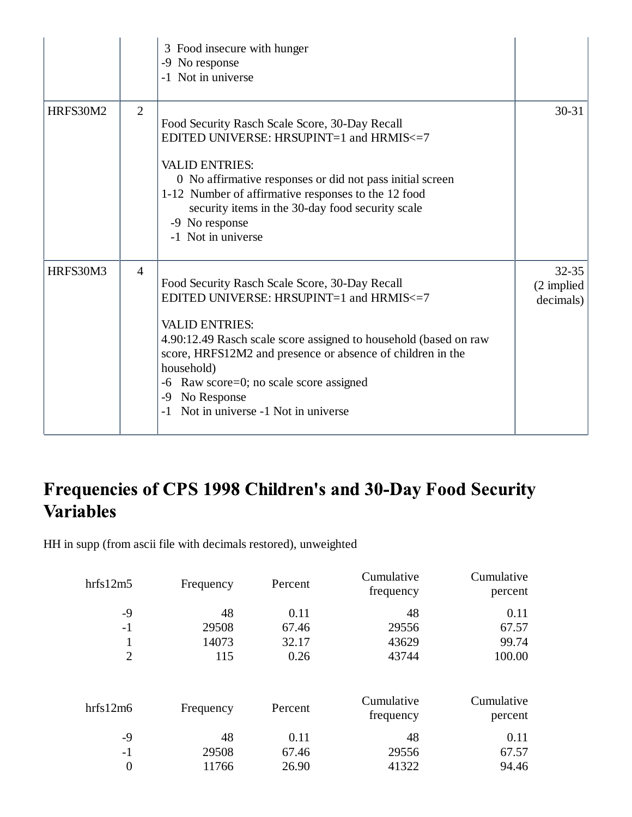|          |                | 3 Food insecure with hunger<br>-9 No response<br>-1 Not in universe                                                                                                                                                                                                                                                                                                          |                                      |
|----------|----------------|------------------------------------------------------------------------------------------------------------------------------------------------------------------------------------------------------------------------------------------------------------------------------------------------------------------------------------------------------------------------------|--------------------------------------|
| HRFS30M2 | 2              | Food Security Rasch Scale Score, 30-Day Recall<br>EDITED UNIVERSE: HRSUPINT=1 and HRMIS<=7<br><b>VALID ENTRIES:</b><br>0 No affirmative responses or did not pass initial screen<br>1-12 Number of affirmative responses to the 12 food<br>security items in the 30-day food security scale<br>-9 No response<br>-1 Not in universe                                          | $30 - 31$                            |
| HRFS30M3 | $\overline{4}$ | Food Security Rasch Scale Score, 30-Day Recall<br>EDITED UNIVERSE: HRSUPINT=1 and HRMIS<=7<br><b>VALID ENTRIES:</b><br>4.90:12.49 Rasch scale score assigned to household (based on raw<br>score, HRFS12M2 and presence or absence of children in the<br>household)<br>-6 Raw score=0; no scale score assigned<br>No Response<br>-9<br>-1 Not in universe -1 Not in universe | $32 - 35$<br>(2 implied<br>decimals) |

### Frequencies of CPS 1998 Children's and 30-Day Food Security **Variables**

HH in supp (from ascii file with decimals restored), unweighted

| hrfs12m5       | Frequency | Percent | Cumulative<br>frequency | Cumulative<br>percent |
|----------------|-----------|---------|-------------------------|-----------------------|
| $-9$           | 48        | 0.11    | 48                      | 0.11                  |
| $-1$           | 29508     | 67.46   | 29556                   | 67.57                 |
| 1              | 14073     | 32.17   | 43629                   | 99.74                 |
| $\overline{2}$ | 115       | 0.26    | 43744                   | 100.00                |
| hrfs12m6       | Frequency | Percent | Cumulative<br>frequency | Cumulative<br>percent |
| $-9$           | 48        | 0.11    | 48                      | 0.11                  |
| $-1$           | 29508     | 67.46   | 29556                   | 67.57                 |
| $\overline{0}$ | 11766     | 26.90   | 41322                   | 94.46                 |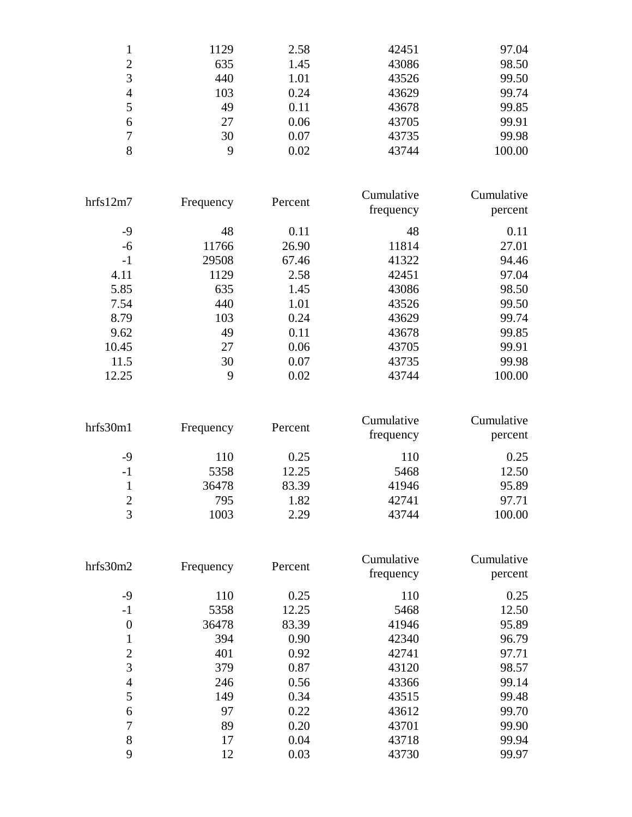|                | 1129 | 2.58 | 42451 | 97.04  |
|----------------|------|------|-------|--------|
| $\overline{2}$ | 635  | 1.45 | 43086 | 98.50  |
| 3              | 440  | 1.01 | 43526 | 99.50  |
| 4              | 103  | 0.24 | 43629 | 99.74  |
| 5              | 49   | 0.11 | 43678 | 99.85  |
| 6              | 27   | 0.06 | 43705 | 99.91  |
| 7              | 30   | 0.07 | 43735 | 99.98  |
| 8              | 9    | 0.02 | 43744 | 100.00 |

| hrfs12m7 | Frequency | Percent | Cumulative<br>frequency | Cumulative<br>percent |
|----------|-----------|---------|-------------------------|-----------------------|
| -9       | 48        | 0.11    | 48                      | 0.11                  |
| -6       | 11766     | 26.90   | 11814                   | 27.01                 |
| $-1$     | 29508     | 67.46   | 41322                   | 94.46                 |
| 4.11     | 1129      | 2.58    | 42451                   | 97.04                 |
| 5.85     | 635       | 1.45    | 43086                   | 98.50                 |
| 7.54     | 440       | 1.01    | 43526                   | 99.50                 |
| 8.79     | 103       | 0.24    | 43629                   | 99.74                 |
| 9.62     | 49        | 0.11    | 43678                   | 99.85                 |
| 10.45    | 27        | 0.06    | 43705                   | 99.91                 |
| 11.5     | 30        | 0.07    | 43735                   | 99.98                 |
| 12.25    | 9         | 0.02    | 43744                   | 100.00                |

| hrfs30m1       | Frequency | Percent | Cumulative<br>frequency | Cumulative<br>percent |
|----------------|-----------|---------|-------------------------|-----------------------|
| -9             | 110       | 0.25    | 110                     | 0.25                  |
| $-1$           | 5358      | 12.25   | 5468                    | 12.50                 |
|                | 36478     | 83.39   | 41946                   | 95.89                 |
| $\overline{2}$ | 795       | 1.82    | 42741                   | 97.71                 |
| 2              | 1003      | 2.29    | 43744                   | 100.00                |

| hrfs30m2       | Frequency | Percent | Cumulative<br>frequency | Cumulative<br>percent |
|----------------|-----------|---------|-------------------------|-----------------------|
| $-9$           | 110       | 0.25    | 110                     | 0.25                  |
| $-1$           | 5358      | 12.25   | 5468                    | 12.50                 |
| $\overline{0}$ | 36478     | 83.39   | 41946                   | 95.89                 |
|                | 394       | 0.90    | 42340                   | 96.79                 |
| $\overline{2}$ | 401       | 0.92    | 42741                   | 97.71                 |
| 3              | 379       | 0.87    | 43120                   | 98.57                 |
| 4              | 246       | 0.56    | 43366                   | 99.14                 |
| 5              | 149       | 0.34    | 43515                   | 99.48                 |
| 6              | 97        | 0.22    | 43612                   | 99.70                 |
|                | 89        | 0.20    | 43701                   | 99.90                 |
| 8              | 17        | 0.04    | 43718                   | 99.94                 |
| 9              | 12        | 0.03    | 43730                   | 99.97                 |